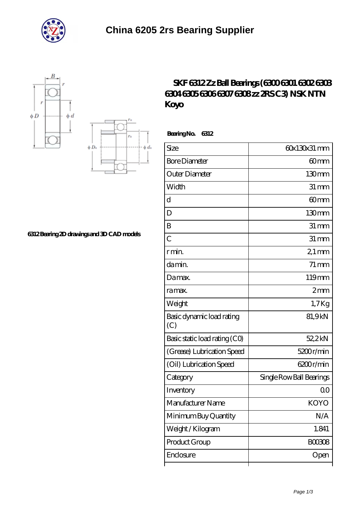





## **[6312 Bearing 2D drawings and 3D CAD models](https://m.bluffsarts.org/pic-665457.html)**

## **[SKF 6312 Zz Ball Bearings \(6300 6301 6302 6303](https://m.bluffsarts.org/skf-61900-Bearing/koyo-6312/) [6304 6305 6306 6307 6308 zz 2RS C3\) NSK NTN](https://m.bluffsarts.org/skf-61900-Bearing/koyo-6312/) [Koyo](https://m.bluffsarts.org/skf-61900-Bearing/koyo-6312/)**

 **Bearing No. 6312**

| Size                             | 60x130x31 mm             |
|----------------------------------|--------------------------|
| <b>Bore Diameter</b>             | 60mm                     |
| Outer Diameter                   | 130mm                    |
| Width                            | $31 \, \text{mm}$        |
| d                                | 60 <sub>mm</sub>         |
| D                                | 130mm                    |
| B                                | $31 \,\mathrm{mm}$       |
| $\overline{C}$                   | $31 \,\mathrm{mm}$       |
| r min.                           | $21$ mm                  |
| da min.                          | $71 \,\mathrm{mm}$       |
| Damax.                           | 119mm                    |
| ra max.                          | 2mm                      |
| Weight                           | $1,7$ Kg                 |
| Basic dynamic load rating<br>(C) | 81,9kN                   |
| Basic static load rating (CO)    | 52,2kN                   |
| (Grease) Lubrication Speed       | 5200r/min                |
| (Oil) Lubrication Speed          | 6200r/min                |
| Category                         | Single Row Ball Bearings |
| Inventory                        | 00                       |
| Manufacturer Name                | <b>KOYO</b>              |
| Minimum Buy Quantity             | N/A                      |
| Weight / Kilogram                | 1.841                    |
| Product Group                    | <b>BOO308</b>            |
| Enclosure                        | Open                     |
|                                  |                          |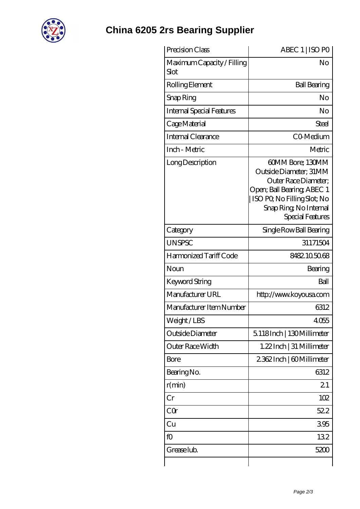

## **[China 6205 2rs Bearing Supplier](https://m.bluffsarts.org)**

| No<br><b>Ball Bearing</b><br>No<br>No<br>Steel<br>CO-Medium<br>Metric<br>60MM Bore; 130MM<br>Outside Diameter; 31MM<br>Outer Race Diameter;<br>Open; Ball Bearing; ABEC 1<br>  ISO PQ No Filling Slot; No<br>Snap Ring, No Internal<br>Special Features<br>Single Row Ball Bearing<br>31171504 |
|------------------------------------------------------------------------------------------------------------------------------------------------------------------------------------------------------------------------------------------------------------------------------------------------|
|                                                                                                                                                                                                                                                                                                |
|                                                                                                                                                                                                                                                                                                |
|                                                                                                                                                                                                                                                                                                |
|                                                                                                                                                                                                                                                                                                |
|                                                                                                                                                                                                                                                                                                |
|                                                                                                                                                                                                                                                                                                |
|                                                                                                                                                                                                                                                                                                |
|                                                                                                                                                                                                                                                                                                |
|                                                                                                                                                                                                                                                                                                |
|                                                                                                                                                                                                                                                                                                |
| 8482105068                                                                                                                                                                                                                                                                                     |
| Bearing                                                                                                                                                                                                                                                                                        |
| Ball                                                                                                                                                                                                                                                                                           |
| http://www.koyousa.com                                                                                                                                                                                                                                                                         |
| 6312                                                                                                                                                                                                                                                                                           |
| 4055                                                                                                                                                                                                                                                                                           |
| 5118Inch   130Millimeter                                                                                                                                                                                                                                                                       |
| 1.22Inch   31 Millimeter                                                                                                                                                                                                                                                                       |
| 2362Inch   60Millimeter                                                                                                                                                                                                                                                                        |
| 6312                                                                                                                                                                                                                                                                                           |
| 21                                                                                                                                                                                                                                                                                             |
| 102                                                                                                                                                                                                                                                                                            |
| 522                                                                                                                                                                                                                                                                                            |
| 395                                                                                                                                                                                                                                                                                            |
|                                                                                                                                                                                                                                                                                                |
| 132                                                                                                                                                                                                                                                                                            |
|                                                                                                                                                                                                                                                                                                |